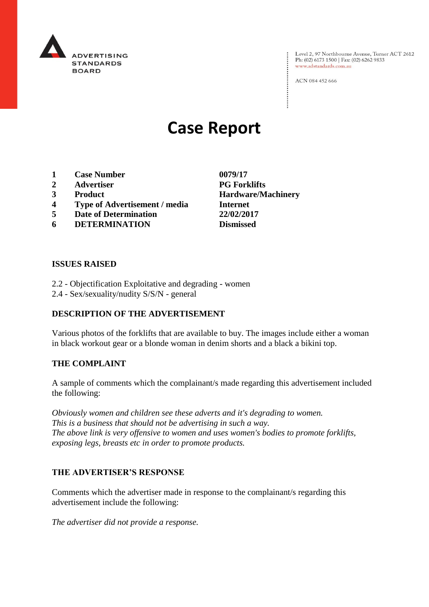

Level 2, 97 Northbourne Avenue, Turner ACT 2612<br>Ph: (02) 6173 1500 | Fax: (02) 6262 9833 www.adstandards.com.au

ACN 084 452 666

# **Case Report**

- **1 Case Number 0079/17**
- **2 Advertiser PG Forklifts**
- **3 Product Hardware/Machinery**
- **4 Type of Advertisement / media Internet**
- **5 Date of Determination 22/02/2017**
- **6 DETERMINATION Dismissed**

**ISSUES RAISED**

- 2.2 Objectification Exploitative and degrading women
- 2.4 Sex/sexuality/nudity S/S/N general

## **DESCRIPTION OF THE ADVERTISEMENT**

Various photos of the forklifts that are available to buy. The images include either a woman in black workout gear or a blonde woman in denim shorts and a black a bikini top.

#### **THE COMPLAINT**

A sample of comments which the complainant/s made regarding this advertisement included the following:

*Obviously women and children see these adverts and it's degrading to women. This is a business that should not be advertising in such a way. The above link is very offensive to women and uses women's bodies to promote forklifts, exposing legs, breasts etc in order to promote products.*

## **THE ADVERTISER'S RESPONSE**

Comments which the advertiser made in response to the complainant/s regarding this advertisement include the following:

*The advertiser did not provide a response.*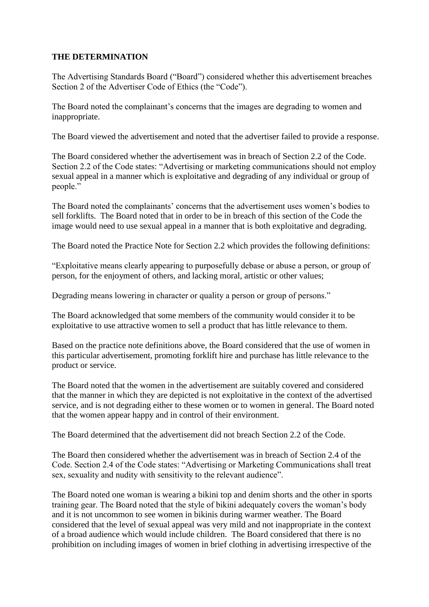## **THE DETERMINATION**

The Advertising Standards Board ("Board") considered whether this advertisement breaches Section 2 of the Advertiser Code of Ethics (the "Code").

The Board noted the complainant's concerns that the images are degrading to women and inappropriate.

The Board viewed the advertisement and noted that the advertiser failed to provide a response.

The Board considered whether the advertisement was in breach of Section 2.2 of the Code. Section 2.2 of the Code states: "Advertising or marketing communications should not employ sexual appeal in a manner which is exploitative and degrading of any individual or group of people."

The Board noted the complainants' concerns that the advertisement uses women's bodies to sell forklifts. The Board noted that in order to be in breach of this section of the Code the image would need to use sexual appeal in a manner that is both exploitative and degrading.

The Board noted the Practice Note for Section 2.2 which provides the following definitions:

"Exploitative means clearly appearing to purposefully debase or abuse a person, or group of person, for the enjoyment of others, and lacking moral, artistic or other values;

Degrading means lowering in character or quality a person or group of persons."

The Board acknowledged that some members of the community would consider it to be exploitative to use attractive women to sell a product that has little relevance to them.

Based on the practice note definitions above, the Board considered that the use of women in this particular advertisement, promoting forklift hire and purchase has little relevance to the product or service.

The Board noted that the women in the advertisement are suitably covered and considered that the manner in which they are depicted is not exploitative in the context of the advertised service, and is not degrading either to these women or to women in general. The Board noted that the women appear happy and in control of their environment.

The Board determined that the advertisement did not breach Section 2.2 of the Code.

The Board then considered whether the advertisement was in breach of Section 2.4 of the Code. Section 2.4 of the Code states: "Advertising or Marketing Communications shall treat sex, sexuality and nudity with sensitivity to the relevant audience".

The Board noted one woman is wearing a bikini top and denim shorts and the other in sports training gear. The Board noted that the style of bikini adequately covers the woman's body and it is not uncommon to see women in bikinis during warmer weather. The Board considered that the level of sexual appeal was very mild and not inappropriate in the context of a broad audience which would include children. The Board considered that there is no prohibition on including images of women in brief clothing in advertising irrespective of the